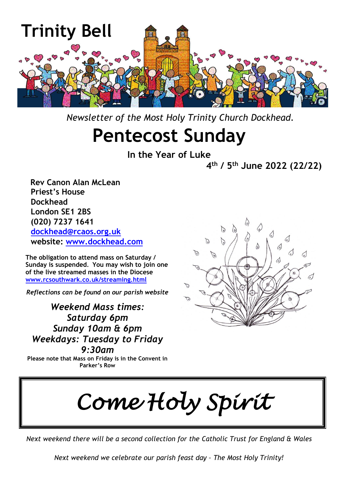

 *Newsletter of the Most Holy Trinity Church Dockhead.*

# **Pentecost Sunday**

**In the Year of Luke**

**4 th / 5th June 2022 (22/22)**

 **Rev Canon Alan McLean Priest's House Dockhead London SE1 2BS (020) 7237 1641 [dockhead@rcaos.org.uk](mailto:dockhead@rcaos.org.uk) website: [www.dockhead.com](http://www.dockhead.com/)**

**The obligation to attend mass on Saturday / Sunday is suspended. You may wish to join one of the live streamed masses in the Diocese [www.rcsouthwark.co.uk/streaming.html](http://www.rcsouthwark.co.uk/streaming.html)**

*Reflections can be found on our parish website*

*Weekend Mass times: Saturday 6pm Sunday 10am & 6pm Weekdays: Tuesday to Friday 9:30am*

**Please note that Mass on Friday is in the Convent in Parker's Row**



*Come Holy Spirit* 

*Next weekend there will be a second collection for the Catholic Trust for England & Wales*

*Next weekend we celebrate our parish feast day – The Most Holy Trinity!*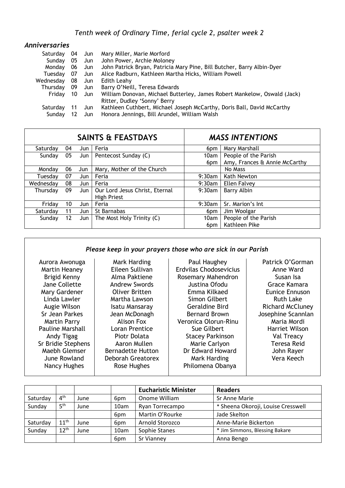| Anniversaries |    |        |                                                                                                          |
|---------------|----|--------|----------------------------------------------------------------------------------------------------------|
| Saturday      | 04 | Jun J  | Mary Miller, Marie Morford                                                                               |
| Sunday        |    | 05 Jun | John Power, Archie Moloney                                                                               |
| Monday        | 06 | Jun J  | John Patrick Bryan, Patricia Mary Pine, Bill Butcher, Barry Albin-Dyer                                   |
| Tuesdav       | 07 | Jun    | Alice Radburn, Kathleen Martha Hicks, William Powell                                                     |
| Wednesday     | 08 | Jun J  | Edith Leahy                                                                                              |
| Thursdav      | 09 | Jun J  | Barry O'Neill, Teresa Edwards                                                                            |
| Friday        | 10 | Jun    | William Donovan, Michael Butterley, James Robert Mankelow, Oswald (Jack)<br>Ritter, Dudley 'Sonny' Berry |
| Saturdav      | 11 | Jun    | Kathleen Cuthbert, Michael Joseph McCarthy, Doris Ball, David McCarthy                                   |
| Sundav        |    | Jun    | Honora Jennings, Bill Arundel, William Walsh                                                             |

| <b>SAINTS &amp; FEASTDAYS</b> |    |     |                                               | <b>MASS INTENTIONS</b> |                               |
|-------------------------------|----|-----|-----------------------------------------------|------------------------|-------------------------------|
| Saturday                      | 04 | Jun | Feria                                         | 6pm                    | Mary Marshall                 |
| Sunday                        | 05 | Jun | Pentecost Sunday (C)                          | 10am                   | People of the Parish          |
|                               |    |     |                                               | 6 <sub>pm</sub>        | Amy, Frances & Annie McCarthy |
| Mondav                        | 06 | Jun | Mary, Mother of the Church                    |                        | No Mass                       |
| Tuesdav                       | 07 | Jun | Feria                                         | 9:30am                 | Kath Newton                   |
| Wednesdav                     | 08 | Jun | Feria                                         | $9:30$ am              | Ellen Falvey                  |
| Thursday                      | 09 | Jun | Our Lord Jesus Christ, Eternal<br>High Priest | $9:30$ am              | Barry Albin                   |
| Friday                        | 10 | Jun | Feria                                         | 9:30am                 | Sr. Marion's Int              |
| Saturday                      | 11 | Jun | St Barnabas                                   | 6pm                    | Jim Woolgar                   |
| Sunday                        | 12 | Jun | The Most Holy Trinity (C)                     | 10am                   | People of the Parish          |
|                               |    |     |                                               | 6 <sub>pm</sub>        | Kathleen Pike                 |

### *Please keep in your prayers those who are sick in our Parish*

| Aurora Awonuga          | Mark Harding             | Paul Haughey            | Patrick O'Gorman        |
|-------------------------|--------------------------|-------------------------|-------------------------|
| Martin Heaney           | Eileen Sullivan          | Erdvilas Chodosevicius  | Anne Ward               |
| Brigid Kenny            | Alma Paktiene            | Rosemary Mahendron      | Susan Isa               |
| Jane Collette           | <b>Andrew Swords</b>     | Justina Ofodu           | Grace Kamara            |
| Mary Gardener           | <b>Oliver Britten</b>    | Emma Kilkaed            | <b>Eunice Ennuson</b>   |
| Linda Lawler            | Martha Lawson            | Simon Gilbert           | <b>Ruth Lake</b>        |
| Augie Wilson            | <b>Isatu Mansaray</b>    | <b>Geraldine Bird</b>   | <b>Richard McCluney</b> |
| Sr Jean Parkes          | Jean McDonagh            | <b>Bernard Brown</b>    | Josephine Scannlan      |
| <b>Martin Parry</b>     | Alison Fox               | Veronica Olorun-Rinu    | Maria Mordi             |
| <b>Pauline Marshall</b> | Loran Prentice           | Sue Gilbert             | Harriet Wilson          |
| Andy Tigag              | Piotr Dolata             | <b>Stacey Parkinson</b> | Val Treacy              |
| Sr Bridie Stephens      | Aaron Mullen             | Marie Carlyon           | Teresa Reid             |
| Maebh Glemser           | <b>Bernadette Hutton</b> | Dr Edward Howard        | John Rayer              |
| June Rowland            | Deborah Greatorex        | Mark Harding            | Vera Keech              |
| Nancy Hughes            | Rose Hughes              | Philomena Obanya        |                         |

|          |                  |      |                 | <b>Eucharistic Minister</b> | <b>Readers</b>                     |
|----------|------------------|------|-----------------|-----------------------------|------------------------------------|
| Saturday | $4^{\text{th}}$  | June | 6 <sub>pm</sub> | Onome William               | Sr Anne Marie                      |
| Sunday   | 5 <sup>th</sup>  | June | 10am            | Ryan Torrecampo             | * Sheena Okoroji, Louise Cresswell |
|          |                  |      | 6 <sub>pm</sub> | Martin O'Rourke             | Jade Skelton                       |
| Saturday | 11 <sup>th</sup> | June | 6 <sub>pm</sub> | Arnold Storozco             | Anne-Marie Bickerton               |
| Sunday   | $12^{th}$        | June | 10am            | Sophie Stanes               | * Jim Simmons, Blessing Bakare     |
|          |                  |      | 6pm             | Sr Vianney                  | Anna Bengo                         |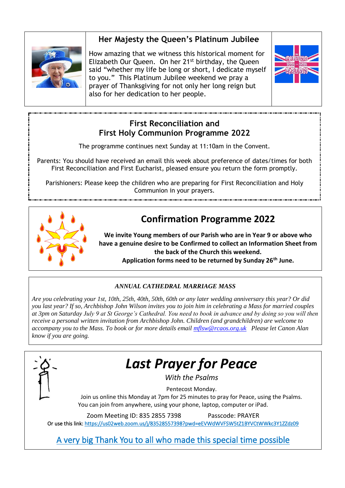### **Her Majesty the Queen's Platinum Jubilee**



How amazing that we witness this historical moment for Elizabeth Our Queen. On her 21st birthday, the Queen said "whether my life be long or short, I dedicate myself to you." This Platinum Jubilee weekend we pray a prayer of Thanksgiving for not only her long reign but also for her dedication to her people.



### **First Reconciliation and First Holy Communion Programme 2022**

The programme continues next Sunday at 11:10am in the Convent.

Parents: You should have received an email this week about preference of dates/times for both First Reconciliation and First Eucharist, pleased ensure you return the form promptly.

Parishioners: Please keep the children who are preparing for First Reconciliation and Holy Communion in your prayers.



### **Confirmation Programme 2022**

**We invite Young members of our Parish who are in Year 9 or above who have a genuine desire to be Confirmed to collect an Information Sheet from the back of the Church this weekend.**

**Application forms need to be returned by Sunday 26th June.**

### *ANNUAL CATHEDRAL MARRIAGE MASS*

*Are you celebrating your 1st, 10th, 25th, 40th, 50th, 60th or any later wedding anniversary this year? Or did you last year? If so, Archbishop John Wilson invites you to join him in celebrating a Mass for married couples at 3pm on Saturday July 9 at St George's Cathedral. You need to book in advance and by doing so you will then receive a personal written invitation from Archbishop John. Children (and grandchildren) are welcome to accompany you to the Mass. To book or for more details email [mflsw@rcaos.org.uk](mailto:mflsw@rcaos.org.uk) Please let Canon Alan know if you are going.*



## *Last Prayer for Peace*

*With the Psalms*

Pentecost Monday.

Join us online this Monday at 7pm for 25 minutes to pray for Peace, using the Psalms. You can join from anywhere, using your phone, laptop, computer or iPad.

Zoom Meeting ID: 835 2855 7398 Passcode: PRAYER

Or use this link:<https://us02web.zoom.us/j/83528557398?pwd=eEVWdWVFSW5tZ1BYVCtWWkc3Y1ZZdz09>

A very big Thank You to all who made this special time possible